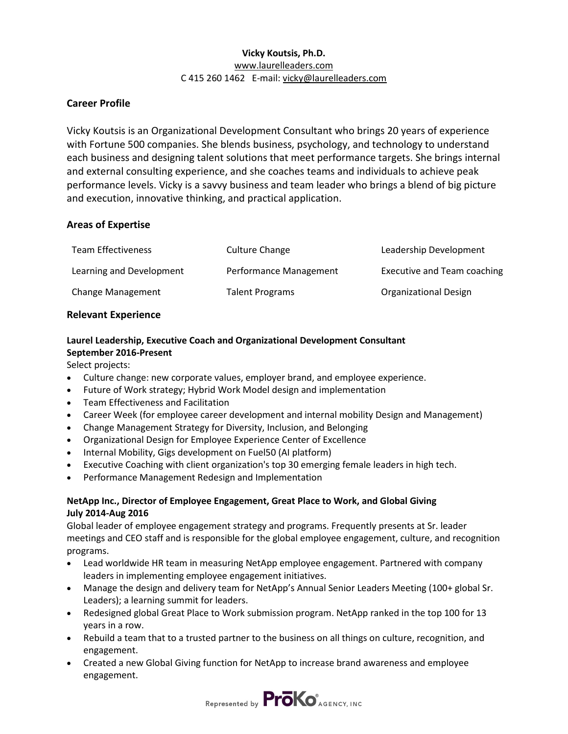## **Vicky Koutsis, Ph.D.** [www.laurelleaders.com](http://www.laurelleaders.com/)  C 415 260 1462 E-mail: [vicky@laurelleaders.com](mailto:vicky@laurelleaders.com)

# **Career Profile**

Vicky Koutsis is an Organizational Development Consultant who brings 20 years of experience with Fortune 500 companies. She blends business, psychology, and technology to understand each business and designing talent solutions that meet performance targets. She brings internal and external consulting experience, and she coaches teams and individuals to achieve peak performance levels. Vicky is a savvy business and team leader who brings a blend of big picture and execution, innovative thinking, and practical application.

# **Areas of Expertise**

| <b>Team Effectiveness</b> | Culture Change         | Leadership Development             |
|---------------------------|------------------------|------------------------------------|
| Learning and Development  | Performance Management | <b>Executive and Team coaching</b> |
| Change Management         | <b>Talent Programs</b> | Organizational Design              |

## **Relevant Experience**

# **Laurel Leadership, Executive Coach and Organizational Development Consultant September 2016-Present**

Select projects:

- Culture change: new corporate values, employer brand, and employee experience.
- Future of Work strategy; Hybrid Work Model design and implementation
- Team Effectiveness and Facilitation
- Career Week (for employee career development and internal mobility Design and Management)
- Change Management Strategy for Diversity, Inclusion, and Belonging
- Organizational Design for Employee Experience Center of Excellence
- Internal Mobility, Gigs development on Fuel50 (AI platform)
- Executive Coaching with client organization's top 30 emerging female leaders in high tech.
- Performance Management Redesign and Implementation

## **NetApp Inc., Director of Employee Engagement, Great Place to Work, and Global Giving July 2014-Aug 2016**

Global leader of employee engagement strategy and programs. Frequently presents at Sr. leader meetings and CEO staff and is responsible for the global employee engagement, culture, and recognition programs.

- Lead worldwide HR team in measuring NetApp employee engagement. Partnered with company leaders in implementing employee engagement initiatives.
- Manage the design and delivery team for NetApp's Annual Senior Leaders Meeting (100+ global Sr. Leaders); a learning summit for leaders.
- Redesigned global Great Place to Work submission program. NetApp ranked in the top 100 for 13 years in a row.
- Rebuild a team that to a trusted partner to the business on all things on culture, recognition, and engagement.
- Created a new Global Giving function for NetApp to increase brand awareness and employee engagement.

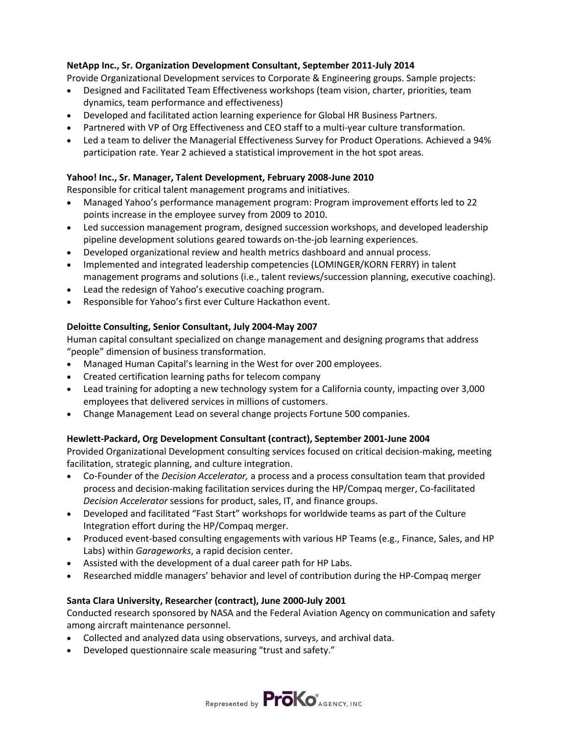## **NetApp Inc., Sr. Organization Development Consultant, September 2011-July 2014**

Provide Organizational Development services to Corporate & Engineering groups. Sample projects:

- Designed and Facilitated Team Effectiveness workshops (team vision, charter, priorities, team dynamics, team performance and effectiveness)
- Developed and facilitated action learning experience for Global HR Business Partners.
- Partnered with VP of Org Effectiveness and CEO staff to a multi-year culture transformation.
- Led a team to deliver the Managerial Effectiveness Survey for Product Operations. Achieved a 94% participation rate. Year 2 achieved a statistical improvement in the hot spot areas.

#### **Yahoo! Inc., Sr. Manager, Talent Development, February 2008-June 2010**

Responsible for critical talent management programs and initiatives.

- Managed Yahoo's performance management program: Program improvement efforts led to 22 points increase in the employee survey from 2009 to 2010.
- Led succession management program, designed succession workshops, and developed leadership pipeline development solutions geared towards on-the-job learning experiences.
- Developed organizational review and health metrics dashboard and annual process.
- Implemented and integrated leadership competencies (LOMINGER/KORN FERRY) in talent management programs and solutions (i.e., talent reviews/succession planning, executive coaching).
- Lead the redesign of Yahoo's executive coaching program.
- Responsible for Yahoo's first ever Culture Hackathon event.

## **Deloitte Consulting, Senior Consultant, July 2004-May 2007**

Human capital consultant specialized on change management and designing programs that address "people" dimension of business transformation.

- Managed Human Capital's learning in the West for over 200 employees.
- Created certification learning paths for telecom company
- Lead training for adopting a new technology system for a California county, impacting over 3,000 employees that delivered services in millions of customers.
- Change Management Lead on several change projects Fortune 500 companies.

## **Hewlett-Packard, Org Development Consultant (contract), September 2001-June 2004**

Provided Organizational Development consulting services focused on critical decision-making, meeting facilitation, strategic planning, and culture integration.

- Co-Founder of the *Decision Accelerator,* a process and a process consultation team that provided process and decision-making facilitation services during the HP/Compaq merger, Co-facilitated *Decision Accelerator* sessions for product, sales, IT, and finance groups.
- Developed and facilitated "Fast Start" workshops for worldwide teams as part of the Culture Integration effort during the HP/Compaq merger.
- Produced event-based consulting engagements with various HP Teams (e.g., Finance, Sales, and HP Labs) within *Garageworks*, a rapid decision center.
- Assisted with the development of a dual career path for HP Labs.
- Researched middle managers' behavior and level of contribution during the HP-Compaq merger

#### **Santa Clara University, Researcher (contract), June 2000-July 2001**

Conducted research sponsored by NASA and the Federal Aviation Agency on communication and safety among aircraft maintenance personnel.

- Collected and analyzed data using observations, surveys, and archival data.
- Developed questionnaire scale measuring "trust and safety."